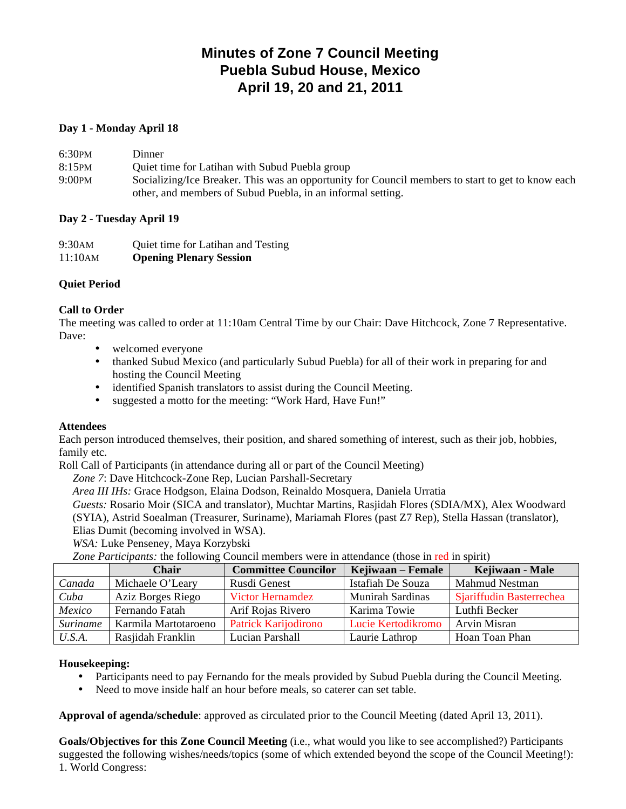# **Minutes of Zone 7 Council Meeting Puebla Subud House, Mexico April 19, 20 and 21, 2011**

# **Day 1 - Monday April 18**

| 6:30PM    | Dinner                                                                                            |
|-----------|---------------------------------------------------------------------------------------------------|
| $8:15$ PM | Quiet time for Latihan with Subud Puebla group                                                    |
| $9:00$ PM | Socializing/Ice Breaker. This was an opportunity for Council members to start to get to know each |
|           | other, and members of Subud Puebla, in an informal setting.                                       |

# **Day 2 - Tuesday April 19**

| 9:30AM  | Quiet time for Latihan and Testing |
|---------|------------------------------------|
| 11:10AM | <b>Opening Plenary Session</b>     |

# **Quiet Period**

# **Call to Order**

The meeting was called to order at 11:10am Central Time by our Chair: Dave Hitchcock, Zone 7 Representative. Dave:

- welcomed everyone
- thanked Subud Mexico (and particularly Subud Puebla) for all of their work in preparing for and hosting the Council Meeting
- identified Spanish translators to assist during the Council Meeting.
- suggested a motto for the meeting: "Work Hard, Have Fun!"

# **Attendees**

Each person introduced themselves, their position, and shared something of interest, such as their job, hobbies, family etc.

Roll Call of Participants (in attendance during all or part of the Council Meeting)

*Zone 7*: Dave Hitchcock-Zone Rep, Lucian Parshall-Secretary

*Area III IHs:* Grace Hodgson, Elaina Dodson, Reinaldo Mosquera, Daniela Urratia

*Guests:* Rosario Moir (SICA and translator), Muchtar Martins, Rasjidah Flores (SDIA/MX), Alex Woodward

(SYIA), Astrid Soealman (Treasurer, Suriname), Mariamah Flores (past Z7 Rep), Stella Hassan (translator), Elias Dumit (becoming involved in WSA).

*WSA:* Luke Penseney, Maya Korzybski

*Zone Participants:* the following Council members were in attendance (those in red in spirit)

|                 | Chair                | <b>Committee Councilor</b>  | Kejiwaan – Female       | Kejiwaan - Male          |
|-----------------|----------------------|-----------------------------|-------------------------|--------------------------|
| Canada          | Michaele O'Leary     | Rusdi Genest                | Istafiah De Souza       | <b>Mahmud Nestman</b>    |
| Cuba            | Aziz Borges Riego    | <b>Victor Hernamdez</b>     | <b>Munirah Sardinas</b> | Sjariffudin Basterrechea |
| Mexico          | Fernando Fatah       | Arif Rojas Rivero           | Karima Towie            | Luthfi Becker            |
| <b>Suriname</b> | Karmila Martotaroeno | <b>Patrick Karijodirono</b> | Lucie Kertodikromo      | <b>Arvin Misran</b>      |
| U.S.A.          | Rasjidah Franklin    | Lucian Parshall             | Laurie Lathrop          | Hoan Toan Phan           |

# **Housekeeping:**

- Participants need to pay Fernando for the meals provided by Subud Puebla during the Council Meeting.
- Need to move inside half an hour before meals, so caterer can set table.

**Approval of agenda/schedule**: approved as circulated prior to the Council Meeting (dated April 13, 2011).

**Goals/Objectives for this Zone Council Meeting** (i.e., what would you like to see accomplished?) Participants suggested the following wishes/needs/topics (some of which extended beyond the scope of the Council Meeting!): 1. World Congress: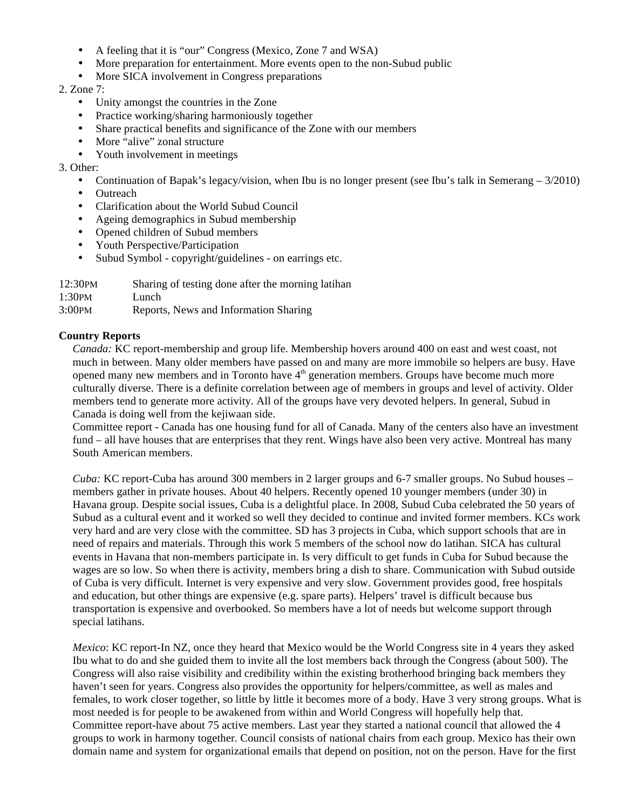- A feeling that it is "our" Congress (Mexico, Zone 7 and WSA)
- More preparation for entertainment. More events open to the non-Subud public
- More SICA involvement in Congress preparations

# 2. Zone 7:

- Unity amongst the countries in the Zone
- Practice working/sharing harmoniously together
- Share practical benefits and significance of the Zone with our members
- More "alive" zonal structure
- Youth involvement in meetings

# 3. Other:

- Continuation of Bapak's legacy/vision, when Ibu is no longer present (see Ibu's talk in Semerang 3/2010)
- Outreach
- Clarification about the World Subud Council
- Ageing demographics in Subud membership
- Opened children of Subud members
- Youth Perspective/Participation
- Subud Symbol copyright/guidelines on earrings etc.

| 12:30PM | Sharing of testing done after the morning latihan |
|---------|---------------------------------------------------|
| 1:30PM  | Lunch                                             |
| 2.0001  | Denambe Marrie and Lafamoatian Champa             |

3:00PM Reports, News and Information Sharing

# **Country Reports**

*Canada:* KC report-membership and group life. Membership hovers around 400 on east and west coast, not much in between. Many older members have passed on and many are more immobile so helpers are busy. Have opened many new members and in Toronto have  $4<sup>th</sup>$  generation members. Groups have become much more culturally diverse. There is a definite correlation between age of members in groups and level of activity. Older members tend to generate more activity. All of the groups have very devoted helpers. In general, Subud in Canada is doing well from the kejiwaan side.

Committee report - Canada has one housing fund for all of Canada. Many of the centers also have an investment fund – all have houses that are enterprises that they rent. Wings have also been very active. Montreal has many South American members.

*Cuba:* KC report-Cuba has around 300 members in 2 larger groups and 6-7 smaller groups. No Subud houses – members gather in private houses. About 40 helpers. Recently opened 10 younger members (under 30) in Havana group. Despite social issues, Cuba is a delightful place. In 2008, Subud Cuba celebrated the 50 years of Subud as a cultural event and it worked so well they decided to continue and invited former members. KCs work very hard and are very close with the committee. SD has 3 projects in Cuba, which support schools that are in need of repairs and materials. Through this work 5 members of the school now do latihan. SICA has cultural events in Havana that non-members participate in. Is very difficult to get funds in Cuba for Subud because the wages are so low. So when there is activity, members bring a dish to share. Communication with Subud outside of Cuba is very difficult. Internet is very expensive and very slow. Government provides good, free hospitals and education, but other things are expensive (e.g. spare parts). Helpers' travel is difficult because bus transportation is expensive and overbooked. So members have a lot of needs but welcome support through special latihans.

*Mexico*: KC report-In NZ, once they heard that Mexico would be the World Congress site in 4 years they asked Ibu what to do and she guided them to invite all the lost members back through the Congress (about 500). The Congress will also raise visibility and credibility within the existing brotherhood bringing back members they haven't seen for years. Congress also provides the opportunity for helpers/committee, as well as males and females, to work closer together, so little by little it becomes more of a body. Have 3 very strong groups. What is most needed is for people to be awakened from within and World Congress will hopefully help that. Committee report-have about 75 active members. Last year they started a national council that allowed the 4 groups to work in harmony together. Council consists of national chairs from each group. Mexico has their own domain name and system for organizational emails that depend on position, not on the person. Have for the first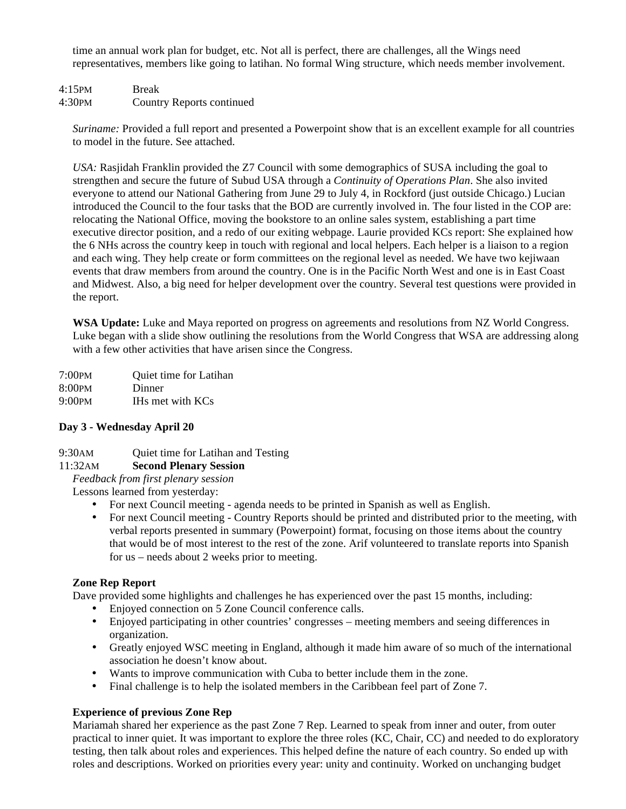time an annual work plan for budget, etc. Not all is perfect, there are challenges, all the Wings need representatives, members like going to latihan. No formal Wing structure, which needs member involvement.

4:15PM Break 4:30PM Country Reports continued

*Suriname:* Provided a full report and presented a Powerpoint show that is an excellent example for all countries to model in the future. See attached.

*USA:* Rasjidah Franklin provided the Z7 Council with some demographics of SUSA including the goal to strengthen and secure the future of Subud USA through a *Continuity of Operations Plan*. She also invited everyone to attend our National Gathering from June 29 to July 4, in Rockford (just outside Chicago.) Lucian introduced the Council to the four tasks that the BOD are currently involved in. The four listed in the COP are: relocating the National Office, moving the bookstore to an online sales system, establishing a part time executive director position, and a redo of our exiting webpage. Laurie provided KCs report: She explained how the 6 NHs across the country keep in touch with regional and local helpers. Each helper is a liaison to a region and each wing. They help create or form committees on the regional level as needed. We have two kejiwaan events that draw members from around the country. One is in the Pacific North West and one is in East Coast and Midwest. Also, a big need for helper development over the country. Several test questions were provided in the report.

**WSA Update:** Luke and Maya reported on progress on agreements and resolutions from NZ World Congress. Luke began with a slide show outlining the resolutions from the World Congress that WSA are addressing along with a few other activities that have arisen since the Congress.

| 7:00PM | Quiet time for Latihan |
|--------|------------------------|
| 8:00pm | Dinner                 |
| 9:00pm | IHs met with KCs       |

# **Day 3 - Wednesday April 20**

9:30AM Quiet time for Latihan and Testing

# 11:32AM **Second Plenary Session**

*Feedback from first plenary session*

Lessons learned from yesterday:

- For next Council meeting agenda needs to be printed in Spanish as well as English.
- For next Council meeting Country Reports should be printed and distributed prior to the meeting, with verbal reports presented in summary (Powerpoint) format, focusing on those items about the country that would be of most interest to the rest of the zone. Arif volunteered to translate reports into Spanish for us – needs about 2 weeks prior to meeting.

# **Zone Rep Report**

Dave provided some highlights and challenges he has experienced over the past 15 months, including:

- Enjoyed connection on 5 Zone Council conference calls.
- Enjoyed participating in other countries' congresses meeting members and seeing differences in organization.
- Greatly enjoyed WSC meeting in England, although it made him aware of so much of the international association he doesn't know about.
- Wants to improve communication with Cuba to better include them in the zone.
- Final challenge is to help the isolated members in the Caribbean feel part of Zone 7.

# **Experience of previous Zone Rep**

Mariamah shared her experience as the past Zone 7 Rep. Learned to speak from inner and outer, from outer practical to inner quiet. It was important to explore the three roles (KC, Chair, CC) and needed to do exploratory testing, then talk about roles and experiences. This helped define the nature of each country. So ended up with roles and descriptions. Worked on priorities every year: unity and continuity. Worked on unchanging budget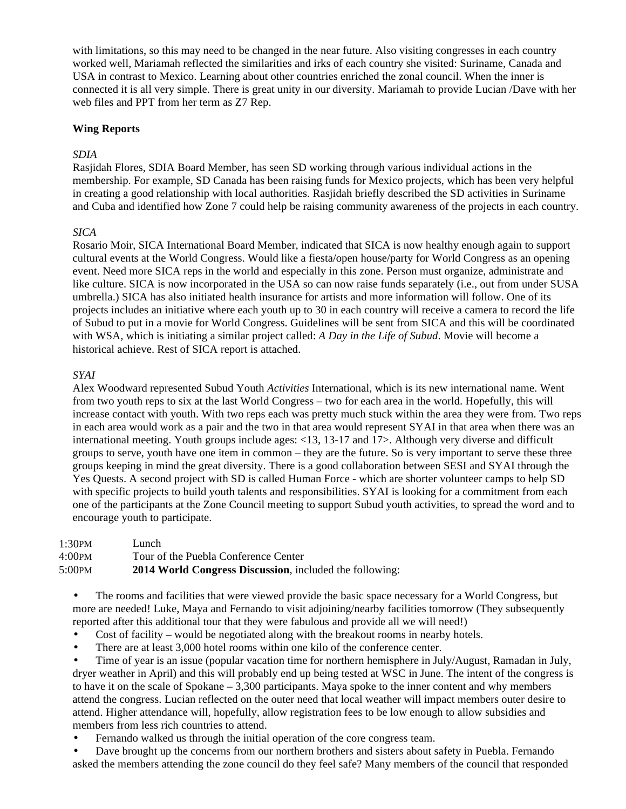with limitations, so this may need to be changed in the near future. Also visiting congresses in each country worked well, Mariamah reflected the similarities and irks of each country she visited: Suriname, Canada and USA in contrast to Mexico. Learning about other countries enriched the zonal council. When the inner is connected it is all very simple. There is great unity in our diversity. Mariamah to provide Lucian /Dave with her web files and PPT from her term as Z7 Rep.

# **Wing Reports**

### *SDIA*

Rasjidah Flores, SDIA Board Member, has seen SD working through various individual actions in the membership. For example, SD Canada has been raising funds for Mexico projects, which has been very helpful in creating a good relationship with local authorities. Rasjidah briefly described the SD activities in Suriname and Cuba and identified how Zone 7 could help be raising community awareness of the projects in each country.

### *SICA*

Rosario Moir, SICA International Board Member, indicated that SICA is now healthy enough again to support cultural events at the World Congress. Would like a fiesta/open house/party for World Congress as an opening event. Need more SICA reps in the world and especially in this zone. Person must organize, administrate and like culture. SICA is now incorporated in the USA so can now raise funds separately (i.e., out from under SUSA umbrella.) SICA has also initiated health insurance for artists and more information will follow. One of its projects includes an initiative where each youth up to 30 in each country will receive a camera to record the life of Subud to put in a movie for World Congress. Guidelines will be sent from SICA and this will be coordinated with WSA, which is initiating a similar project called: *A Day in the Life of Subud*. Movie will become a historical achieve. Rest of SICA report is attached.

### *SYAI*

Alex Woodward represented Subud Youth *Activities* International, which is its new international name. Went from two youth reps to six at the last World Congress – two for each area in the world. Hopefully, this will increase contact with youth. With two reps each was pretty much stuck within the area they were from. Two reps in each area would work as a pair and the two in that area would represent SYAI in that area when there was an international meeting. Youth groups include ages: <13, 13-17 and 17>. Although very diverse and difficult groups to serve, youth have one item in common – they are the future. So is very important to serve these three groups keeping in mind the great diversity. There is a good collaboration between SESI and SYAI through the Yes Quests. A second project with SD is called Human Force - which are shorter volunteer camps to help SD with specific projects to build youth talents and responsibilities. SYAI is looking for a commitment from each one of the participants at the Zone Council meeting to support Subud youth activities, to spread the word and to encourage youth to participate.

1:30PM Lunch 4:00PM Tour of the Puebla Conference Center 5:00PM **2014 World Congress Discussion**, included the following:

• The rooms and facilities that were viewed provide the basic space necessary for a World Congress, but more are needed! Luke, Maya and Fernando to visit adjoining/nearby facilities tomorrow (They subsequently reported after this additional tour that they were fabulous and provide all we will need!)

- Cost of facility would be negotiated along with the breakout rooms in nearby hotels.
- There are at least 3,000 hotel rooms within one kilo of the conference center.

• Time of year is an issue (popular vacation time for northern hemisphere in July/August, Ramadan in July, dryer weather in April) and this will probably end up being tested at WSC in June. The intent of the congress is to have it on the scale of Spokane – 3,300 participants. Maya spoke to the inner content and why members attend the congress. Lucian reflected on the outer need that local weather will impact members outer desire to attend. Higher attendance will, hopefully, allow registration fees to be low enough to allow subsidies and members from less rich countries to attend.

• Fernando walked us through the initial operation of the core congress team.

• Dave brought up the concerns from our northern brothers and sisters about safety in Puebla. Fernando asked the members attending the zone council do they feel safe? Many members of the council that responded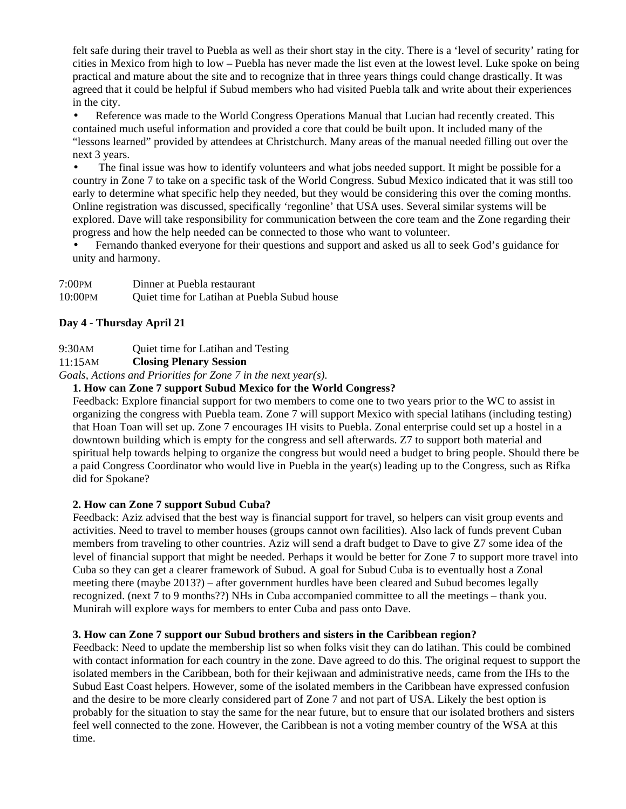felt safe during their travel to Puebla as well as their short stay in the city. There is a 'level of security' rating for cities in Mexico from high to low – Puebla has never made the list even at the lowest level. Luke spoke on being practical and mature about the site and to recognize that in three years things could change drastically. It was agreed that it could be helpful if Subud members who had visited Puebla talk and write about their experiences in the city.

Reference was made to the World Congress Operations Manual that Lucian had recently created. This contained much useful information and provided a core that could be built upon. It included many of the "lessons learned" provided by attendees at Christchurch. Many areas of the manual needed filling out over the next 3 years.

The final issue was how to identify volunteers and what jobs needed support. It might be possible for a country in Zone 7 to take on a specific task of the World Congress. Subud Mexico indicated that it was still too early to determine what specific help they needed, but they would be considering this over the coming months. Online registration was discussed, specifically 'regonline' that USA uses. Several similar systems will be explored. Dave will take responsibility for communication between the core team and the Zone regarding their progress and how the help needed can be connected to those who want to volunteer.

• Fernando thanked everyone for their questions and support and asked us all to seek God's guidance for unity and harmony.

| 7:00PM  | Dinner at Puebla restaurant                  |
|---------|----------------------------------------------|
| 10:00PM | Quiet time for Latihan at Puebla Subud house |

# **Day 4 - Thursday April 21**

9:30AM Quiet time for Latihan and Testing

# 11:15AM **Closing Plenary Session**

*Goals, Actions and Priorities for Zone 7 in the next year(s).* 

# **1. How can Zone 7 support Subud Mexico for the World Congress?**

Feedback: Explore financial support for two members to come one to two years prior to the WC to assist in organizing the congress with Puebla team. Zone 7 will support Mexico with special latihans (including testing) that Hoan Toan will set up. Zone 7 encourages IH visits to Puebla. Zonal enterprise could set up a hostel in a downtown building which is empty for the congress and sell afterwards. Z7 to support both material and spiritual help towards helping to organize the congress but would need a budget to bring people. Should there be a paid Congress Coordinator who would live in Puebla in the year(s) leading up to the Congress, such as Rifka did for Spokane?

# **2. How can Zone 7 support Subud Cuba?**

Feedback: Aziz advised that the best way is financial support for travel, so helpers can visit group events and activities. Need to travel to member houses (groups cannot own facilities). Also lack of funds prevent Cuban members from traveling to other countries. Aziz will send a draft budget to Dave to give Z7 some idea of the level of financial support that might be needed. Perhaps it would be better for Zone 7 to support more travel into Cuba so they can get a clearer framework of Subud. A goal for Subud Cuba is to eventually host a Zonal meeting there (maybe 2013?) – after government hurdles have been cleared and Subud becomes legally recognized. (next 7 to 9 months??) NHs in Cuba accompanied committee to all the meetings – thank you. Munirah will explore ways for members to enter Cuba and pass onto Dave.

# **3. How can Zone 7 support our Subud brothers and sisters in the Caribbean region?**

Feedback: Need to update the membership list so when folks visit they can do latihan. This could be combined with contact information for each country in the zone. Dave agreed to do this. The original request to support the isolated members in the Caribbean, both for their kejiwaan and administrative needs, came from the IHs to the Subud East Coast helpers. However, some of the isolated members in the Caribbean have expressed confusion and the desire to be more clearly considered part of Zone 7 and not part of USA. Likely the best option is probably for the situation to stay the same for the near future, but to ensure that our isolated brothers and sisters feel well connected to the zone. However, the Caribbean is not a voting member country of the WSA at this time.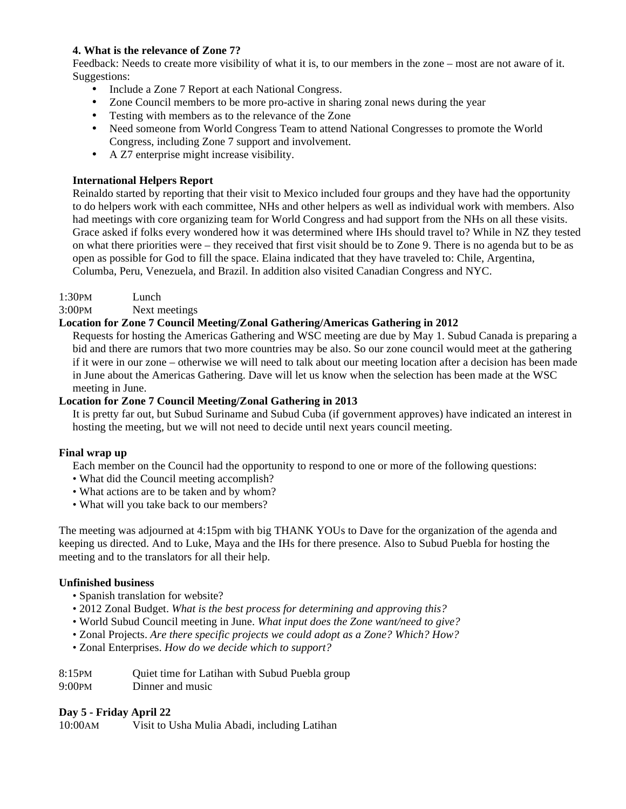# **4. What is the relevance of Zone 7?**

Feedback: Needs to create more visibility of what it is, to our members in the zone – most are not aware of it. Suggestions:

- Include a Zone 7 Report at each National Congress.
- Zone Council members to be more pro-active in sharing zonal news during the year
- Testing with members as to the relevance of the Zone
- Need someone from World Congress Team to attend National Congresses to promote the World Congress, including Zone 7 support and involvement.
- A Z7 enterprise might increase visibility.

# **International Helpers Report**

Reinaldo started by reporting that their visit to Mexico included four groups and they have had the opportunity to do helpers work with each committee, NHs and other helpers as well as individual work with members. Also had meetings with core organizing team for World Congress and had support from the NHs on all these visits. Grace asked if folks every wondered how it was determined where IHs should travel to? While in NZ they tested on what there priorities were – they received that first visit should be to Zone 9. There is no agenda but to be as open as possible for God to fill the space. Elaina indicated that they have traveled to: Chile, Argentina, Columba, Peru, Venezuela, and Brazil. In addition also visited Canadian Congress and NYC.

1:30PM Lunch

3:00PM Next meetings

# **Location for Zone 7 Council Meeting/Zonal Gathering/Americas Gathering in 2012**

Requests for hosting the Americas Gathering and WSC meeting are due by May 1. Subud Canada is preparing a bid and there are rumors that two more countries may be also. So our zone council would meet at the gathering if it were in our zone – otherwise we will need to talk about our meeting location after a decision has been made in June about the Americas Gathering. Dave will let us know when the selection has been made at the WSC meeting in June.

# **Location for Zone 7 Council Meeting/Zonal Gathering in 2013**

It is pretty far out, but Subud Suriname and Subud Cuba (if government approves) have indicated an interest in hosting the meeting, but we will not need to decide until next years council meeting.

# **Final wrap up**

Each member on the Council had the opportunity to respond to one or more of the following questions:

- What did the Council meeting accomplish?
- What actions are to be taken and by whom?
- What will you take back to our members?

The meeting was adjourned at 4:15pm with big THANK YOUs to Dave for the organization of the agenda and keeping us directed. And to Luke, Maya and the IHs for there presence. Also to Subud Puebla for hosting the meeting and to the translators for all their help.

# **Unfinished business**

- Spanish translation for website?
- 2012 Zonal Budget. *What is the best process for determining and approving this?*
- World Subud Council meeting in June. *What input does the Zone want/need to give?*
- Zonal Projects. *Are there specific projects we could adopt as a Zone? Which? How?*
- Zonal Enterprises. *How do we decide which to support?*
- 8:15PM Quiet time for Latihan with Subud Puebla group
- 9:00PM Dinner and music

# **Day 5 - Friday April 22**

10:00AM Visit to Usha Mulia Abadi, including Latihan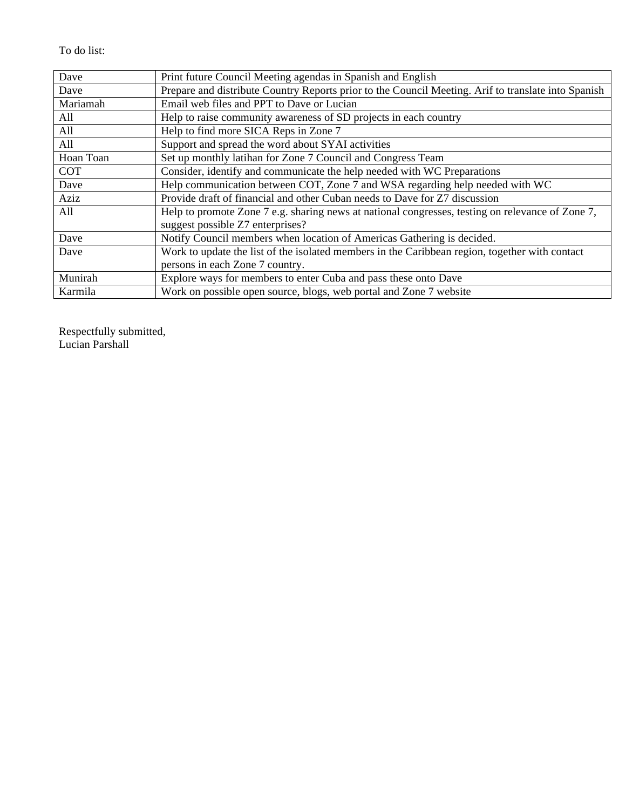# To do list:

| Dave       | Print future Council Meeting agendas in Spanish and English                                         |
|------------|-----------------------------------------------------------------------------------------------------|
| Dave       | Prepare and distribute Country Reports prior to the Council Meeting. Arif to translate into Spanish |
| Mariamah   | Email web files and PPT to Dave or Lucian                                                           |
| All        | Help to raise community awareness of SD projects in each country                                    |
| All        | Help to find more SICA Reps in Zone 7                                                               |
| All        | Support and spread the word about SYAI activities                                                   |
| Hoan Toan  | Set up monthly latihan for Zone 7 Council and Congress Team                                         |
| <b>COT</b> | Consider, identify and communicate the help needed with WC Preparations                             |
| Dave       | Help communication between COT, Zone 7 and WSA regarding help needed with WC                        |
| Aziz       | Provide draft of financial and other Cuban needs to Dave for Z7 discussion                          |
| All        | Help to promote Zone 7 e.g. sharing news at national congresses, testing on relevance of Zone 7,    |
|            | suggest possible Z7 enterprises?                                                                    |
| Dave       | Notify Council members when location of Americas Gathering is decided.                              |
| Dave       | Work to update the list of the isolated members in the Caribbean region, together with contact      |
|            | persons in each Zone 7 country.                                                                     |
| Munirah    | Explore ways for members to enter Cuba and pass these onto Dave                                     |
| Karmila    | Work on possible open source, blogs, web portal and Zone 7 website                                  |

Respectfully submitted, Lucian Parshall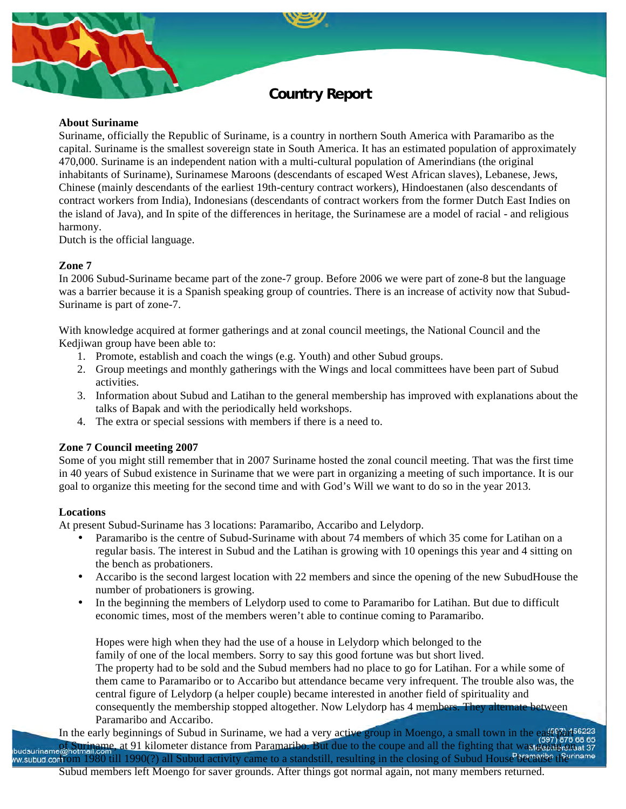# **Country Report**

#### **About Suriname**

Suriname, officially the Republic of Suriname, is a country in northern South America with Paramaribo as the capital. Suriname is the smallest sovereign state in South America. It has an estimated population of approximately 470,000. Suriname is an independent nation with a multi-cultural population of Amerindians (the original inhabitants of Suriname), Surinamese Maroons (descendants of escaped West African slaves), Lebanese, Jews, Chinese (mainly descendants of the earliest 19th-century contract workers), Hindoestanen (also descendants of contract workers from India), Indonesians (descendants of contract workers from the former Dutch East Indies on the island of Java), and In spite of the differences in heritage, the Surinamese are a model of racial - and religious harmony.

Dutch is the official language.

# **Zone 7**

In 2006 Subud-Suriname became part of the zone-7 group. Before 2006 we were part of zone-8 but the language was a barrier because it is a Spanish speaking group of countries. There is an increase of activity now that Subud-Suriname is part of zone-7.

With knowledge acquired at former gatherings and at zonal council meetings, the National Council and the Kedjiwan group have been able to:

- 1. Promote, establish and coach the wings (e.g. Youth) and other Subud groups.
- 2. Group meetings and monthly gatherings with the Wings and local committees have been part of Subud activities.
- 3. Information about Subud and Latihan to the general membership has improved with explanations about the talks of Bapak and with the periodically held workshops.
- 4. The extra or special sessions with members if there is a need to.

# **Zone 7 Council meeting 2007**

Some of you might still remember that in 2007 Suriname hosted the zonal council meeting. That was the first time in 40 years of Subud existence in Suriname that we were part in organizing a meeting of such importance. It is our goal to organize this meeting for the second time and with God's Will we want to do so in the year 2013.

# **Locations**

At present Subud-Suriname has 3 locations: Paramaribo, Accaribo and Lelydorp.

- Paramaribo is the centre of Subud-Suriname with about 74 members of which 35 come for Latihan on a regular basis. The interest in Subud and the Latihan is growing with 10 openings this year and 4 sitting on the bench as probationers.
- Accaribo is the second largest location with 22 members and since the opening of the new SubudHouse the number of probationers is growing.
- In the beginning the members of Lelydorp used to come to Paramaribo for Latihan. But due to difficult economic times, most of the members weren't able to continue coming to Paramaribo.

Hopes were high when they had the use of a house in Lelydorp which belonged to the family of one of the local members. Sorry to say this good fortune was but short lived. The property had to be sold and the Subud members had no place to go for Latihan. For a while some of them came to Paramaribo or to Accaribo but attendance became very infrequent. The trouble also was, the central figure of Lelydorp (a helper couple) became interested in another field of spirituality and consequently the membership stopped altogether. Now Lelydorp has 4 members. They alternate between Paramaribo and Accaribo.

In the early beginnings of Subud in Suriname, we had a very active group in Moengo, a small town in the east part as as budsuriname@hotmail.com, at 91 kilometer distance from Paramaribo. But due to the coupe and all the fighting that was going one as 37 w subud controm 1980 till 1990(?) all Subud activity came to a standstill, resulting in the closing of Subud House Because the riname Subud members left Moengo for saver grounds. After things got normal again, not many members returned.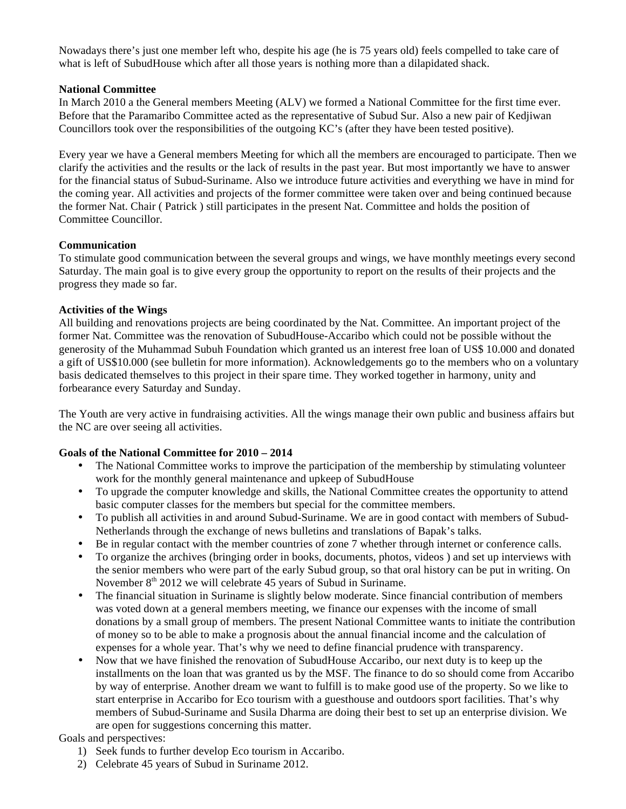Nowadays there's just one member left who, despite his age (he is 75 years old) feels compelled to take care of what is left of SubudHouse which after all those years is nothing more than a dilapidated shack.

# **National Committee**

In March 2010 a the General members Meeting (ALV) we formed a National Committee for the first time ever. Before that the Paramaribo Committee acted as the representative of Subud Sur. Also a new pair of Kedjiwan Councillors took over the responsibilities of the outgoing KC's (after they have been tested positive).

Every year we have a General members Meeting for which all the members are encouraged to participate. Then we clarify the activities and the results or the lack of results in the past year. But most importantly we have to answer for the financial status of Subud-Suriname. Also we introduce future activities and everything we have in mind for the coming year. All activities and projects of the former committee were taken over and being continued because the former Nat. Chair ( Patrick ) still participates in the present Nat. Committee and holds the position of Committee Councillor.

# **Communication**

To stimulate good communication between the several groups and wings, we have monthly meetings every second Saturday. The main goal is to give every group the opportunity to report on the results of their projects and the progress they made so far.

# **Activities of the Wings**

All building and renovations projects are being coordinated by the Nat. Committee. An important project of the former Nat. Committee was the renovation of SubudHouse-Accaribo which could not be possible without the generosity of the Muhammad Subuh Foundation which granted us an interest free loan of US\$ 10.000 and donated a gift of US\$10.000 (see bulletin for more information). Acknowledgements go to the members who on a voluntary basis dedicated themselves to this project in their spare time. They worked together in harmony, unity and forbearance every Saturday and Sunday.

The Youth are very active in fundraising activities. All the wings manage their own public and business affairs but the NC are over seeing all activities.

# **Goals of the National Committee for 2010 – 2014**

- The National Committee works to improve the participation of the membership by stimulating volunteer work for the monthly general maintenance and upkeep of SubudHouse
- To upgrade the computer knowledge and skills, the National Committee creates the opportunity to attend basic computer classes for the members but special for the committee members.
- To publish all activities in and around Subud-Suriname. We are in good contact with members of Subud-Netherlands through the exchange of news bulletins and translations of Bapak's talks.
- Be in regular contact with the member countries of zone 7 whether through internet or conference calls.
- To organize the archives (bringing order in books, documents, photos, videos ) and set up interviews with the senior members who were part of the early Subud group, so that oral history can be put in writing. On November  $8<sup>th</sup>$  2012 we will celebrate 45 years of Subud in Suriname.
- The financial situation in Suriname is slightly below moderate. Since financial contribution of members was voted down at a general members meeting, we finance our expenses with the income of small donations by a small group of members. The present National Committee wants to initiate the contribution of money so to be able to make a prognosis about the annual financial income and the calculation of expenses for a whole year. That's why we need to define financial prudence with transparency.
- Now that we have finished the renovation of SubudHouse Accaribo, our next duty is to keep up the installments on the loan that was granted us by the MSF. The finance to do so should come from Accaribo by way of enterprise. Another dream we want to fulfill is to make good use of the property. So we like to start enterprise in Accaribo for Eco tourism with a guesthouse and outdoors sport facilities. That's why members of Subud-Suriname and Susila Dharma are doing their best to set up an enterprise division. We are open for suggestions concerning this matter.

# Goals and perspectives:

- 1) Seek funds to further develop Eco tourism in Accaribo.
- 2) Celebrate 45 years of Subud in Suriname 2012.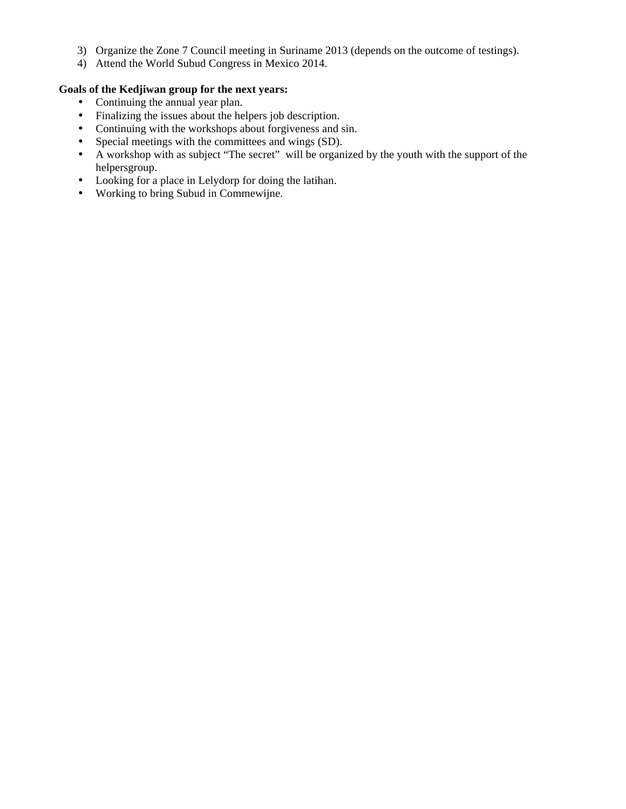- 3) Organize the Zone 7 Council meeting in Suriname 2013 (depends on the outcome of testings).
- 4) Attend the World Subud Congress in Mexico 2014.

# **Goals of the Kedjiwan group for the next years:**

- Continuing the annual year plan.
- Finalizing the issues about the helpers job description.
- Continuing with the workshops about forgiveness and sin.
- Special meetings with the committees and wings (SD).
- A workshop with as subject "The secret" will be organized by the youth with the support of the helpersgroup.
- Looking for a place in Lelydorp for doing the latihan.
- Working to bring Subud in Commewijne.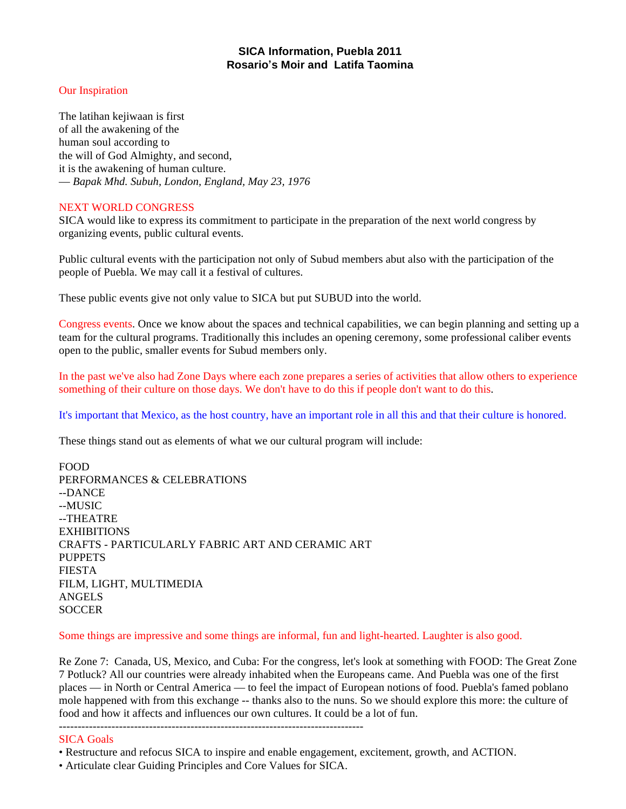# **SICA Information, Puebla 2011 Rosario's Moir and Latifa Taomina**

# Our Inspiration

The latihan kejiwaan is first of all the awakening of the human soul according to the will of God Almighty, and second, it is the awakening of human culture. — *Bapak Mhd. Subuh, London, England, May 23, 1976*

#### NEXT WORLD CONGRESS

SICA would like to express its commitment to participate in the preparation of the next world congress by organizing events, public cultural events.

Public cultural events with the participation not only of Subud members abut also with the participation of the people of Puebla. We may call it a festival of cultures.

These public events give not only value to SICA but put SUBUD into the world.

Congress events. Once we know about the spaces and technical capabilities, we can begin planning and setting up a team for the cultural programs. Traditionally this includes an opening ceremony, some professional caliber events open to the public, smaller events for Subud members only.

In the past we've also had Zone Days where each zone prepares a series of activities that allow others to experience something of their culture on those days. We don't have to do this if people don't want to do this.

It's important that Mexico, as the host country, have an important role in all this and that their culture is honored.

These things stand out as elements of what we our cultural program will include:

FOOD PERFORMANCES & CELEBRATIONS --DANCE --MUSIC --THEATRE **EXHIBITIONS** CRAFTS - PARTICULARLY FABRIC ART AND CERAMIC ART PUPPETS FIESTA FILM, LIGHT, MULTIMEDIA ANGELS **SOCCER** 

# Some things are impressive and some things are informal, fun and light-hearted. Laughter is also good.

Re Zone 7: Canada, US, Mexico, and Cuba: For the congress, let's look at something with FOOD: The Great Zone 7 Potluck? All our countries were already inhabited when the Europeans came. And Puebla was one of the first places — in North or Central America — to feel the impact of European notions of food. Puebla's famed poblano mole happened with from this exchange -- thanks also to the nuns. So we should explore this more: the culture of food and how it affects and influences our own cultures. It could be a lot of fun.

### SICA Goals

- Restructure and refocus SICA to inspire and enable engagement, excitement, growth, and ACTION.
- Articulate clear Guiding Principles and Core Values for SICA.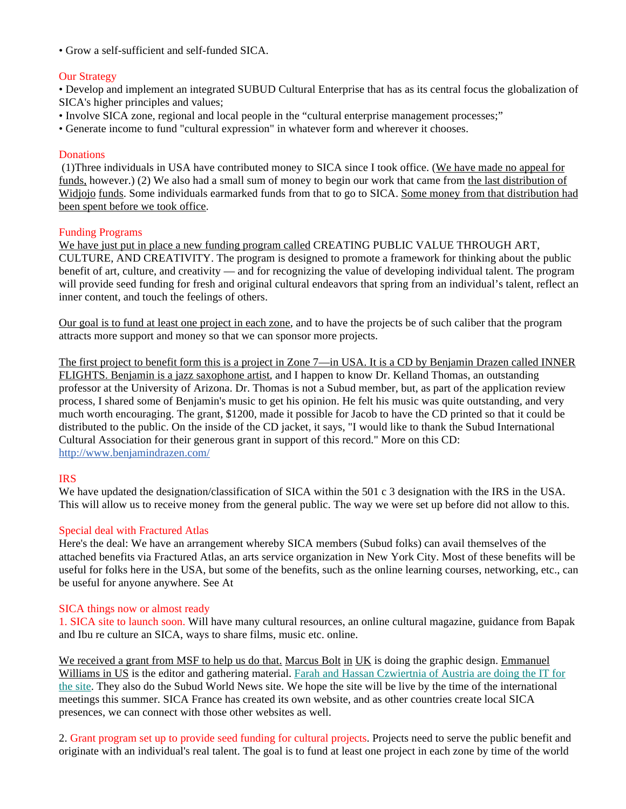• Grow a self-sufficient and self-funded SICA.

# Our Strategy

• Develop and implement an integrated SUBUD Cultural Enterprise that has as its central focus the globalization of SICA's higher principles and values;

- Involve SICA zone, regional and local people in the "cultural enterprise management processes;"
- Generate income to fund "cultural expression" in whatever form and wherever it chooses.

#### **Donations**

 (1)Three individuals in USA have contributed money to SICA since I took office. (We have made no appeal for funds, however.) (2) We also had a small sum of money to begin our work that came from the last distribution of Widjojo funds. Some individuals earmarked funds from that to go to SICA. Some money from that distribution had been spent before we took office.

#### Funding Programs

We have just put in place a new funding program called CREATING PUBLIC VALUE THROUGH ART, CULTURE, AND CREATIVITY. The program is designed to promote a framework for thinking about the public benefit of art, culture, and creativity — and for recognizing the value of developing individual talent. The program will provide seed funding for fresh and original cultural endeavors that spring from an individual's talent, reflect an inner content, and touch the feelings of others.

Our goal is to fund at least one project in each zone, and to have the projects be of such caliber that the program attracts more support and money so that we can sponsor more projects.

The first project to benefit form this is a project in Zone 7—in USA. It is a CD by Benjamin Drazen called INNER FLIGHTS. Benjamin is a jazz saxophone artist, and I happen to know Dr. Kelland Thomas, an outstanding professor at the University of Arizona. Dr. Thomas is not a Subud member, but, as part of the application review process, I shared some of Benjamin's music to get his opinion. He felt his music was quite outstanding, and very much worth encouraging. The grant, \$1200, made it possible for Jacob to have the CD printed so that it could be distributed to the public. On the inside of the CD jacket, it says, "I would like to thank the Subud International Cultural Association for their generous grant in support of this record." More on this CD: http://www.benjamindrazen.com/

# IRS

We have updated the designation/classification of SICA within the 501 c 3 designation with the IRS in the USA. This will allow us to receive money from the general public. The way we were set up before did not allow to this.

#### Special deal with Fractured Atlas

Here's the deal: We have an arrangement whereby SICA members (Subud folks) can avail themselves of the attached benefits via Fractured Atlas, an arts service organization in New York City. Most of these benefits will be useful for folks here in the USA, but some of the benefits, such as the online learning courses, networking, etc., can be useful for anyone anywhere. See At

#### SICA things now or almost ready

1. SICA site to launch soon. Will have many cultural resources, an online cultural magazine, guidance from Bapak and Ibu re culture an SICA, ways to share films, music etc. online.

We received a grant from MSF to help us do that. Marcus Bolt in UK is doing the graphic design. Emmanuel Williams in US is the editor and gathering material. Farah and Hassan Czwiertnia of Austria are doing the IT for the site. They also do the Subud World News site. We hope the site will be live by the time of the international meetings this summer. SICA France has created its own website, and as other countries create local SICA presences, we can connect with those other websites as well.

2. Grant program set up to provide seed funding for cultural projects. Projects need to serve the public benefit and originate with an individual's real talent. The goal is to fund at least one project in each zone by time of the world